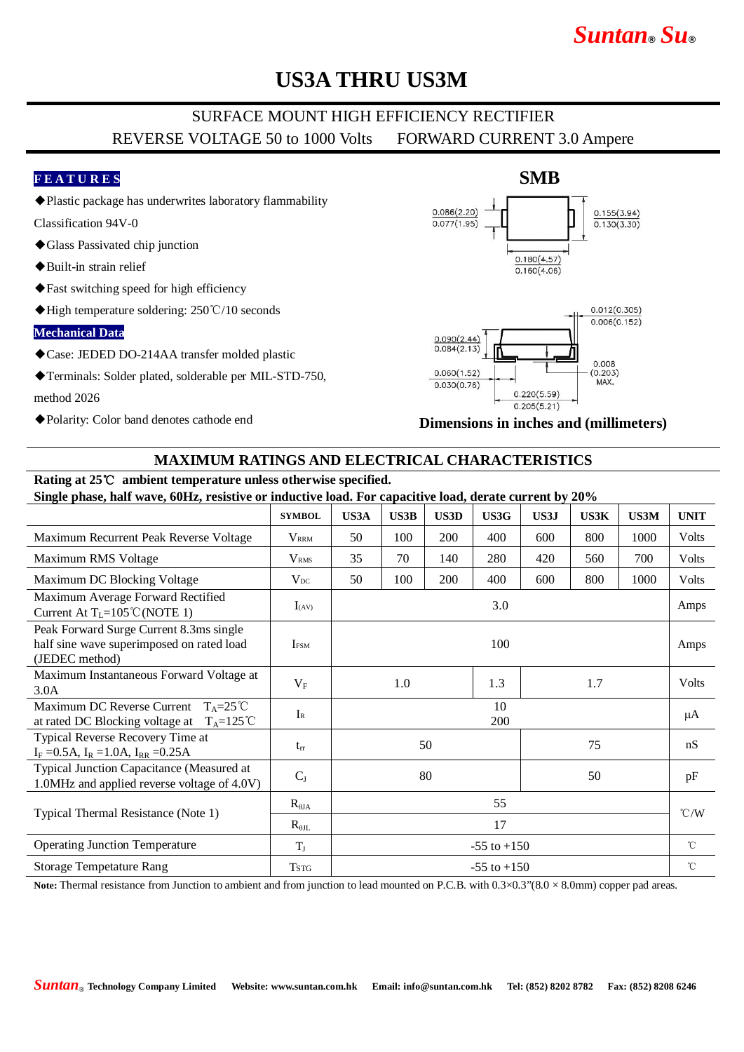# *Suntan***®** *Su***®**

# **US3A THRU US3M**

### SURFACE MOUNT HIGH EFFICIENCY RECTIFIER REVERSE VOLTAGE 50 to 1000 Volts FORWARD CURRENT 3.0 Ampere

### **F E A T U R E S**

◆Plastic package has underwrites laboratory flammability

Classification 94V-0

- ◆Glass Passivated chip junction
- ◆Built-in strain relief
- ◆Fast switching speed for high efficiency
- ◆High temperature soldering: 250°C/10 seconds

#### **Mechanical Data**

- ◆Case: JEDED DO-214AA transfer molded plastic
- ◆Terminals: Solder plated, solderable per MIL-STD-750, method 2026
- ◆Polarity: Color band denotes cathode end





**Dimensions in inches and (millimeters)**

### **MAXIMUM RATINGS AND ELECTRICAL CHARACTERISTICS**

#### **Rating at 25**℃ **ambient temperature unless otherwise specified. Single phase, half wave, 60Hz, resistive or inductive load. For capacitive load, derate current by 20%**

|                                                                                                              | <b>SYMBOL</b>           | US3A            | <b>US3B</b> | <b>US3D</b> | US3G | US3J | <b>US3K</b> | <b>US3M</b> | <b>UNIT</b>        |
|--------------------------------------------------------------------------------------------------------------|-------------------------|-----------------|-------------|-------------|------|------|-------------|-------------|--------------------|
| Maximum Recurrent Peak Reverse Voltage                                                                       | <b>V</b> <sub>RRM</sub> | 50              | 100         | 200         | 400  | 600  | 800         | 1000        | Volts              |
| Maximum RMS Voltage                                                                                          | <b>V</b> <sub>RMS</sub> | 35              | 70          | 140         | 280  | 420  | 560         | 700         | Volts              |
| Maximum DC Blocking Voltage                                                                                  | $V_{DC}$                | 50              | 100         | 200         | 400  | 600  | 800         | 1000        | Volts              |
| Maximum Average Forward Rectified<br>Current At $T_L = 105^{\circ}$ C (NOTE 1)                               | $I_{(AV)}$              | 3.0             |             |             |      |      |             |             | Amps               |
| Peak Forward Surge Current 8.3ms single<br>half sine wave superimposed on rated load<br>(JEDEC method)       | <b>I</b> <sub>ESM</sub> | 100             |             |             |      |      |             |             | Amps               |
| Maximum Instantaneous Forward Voltage at<br>3.0A                                                             | $V_{\rm F}$             |                 | 1.0         |             | 1.3  |      | 1.7         |             | <b>Volts</b>       |
| Maximum DC Reverse Current<br>$T_A = 25^{\circ}C$<br>at rated DC Blocking voltage at<br>$T_A = 125^{\circ}C$ | $I_{R}$                 | 10<br>200       |             |             |      |      |             |             | μA                 |
| Typical Reverse Recovery Time at<br>$I_F = 0.5A$ , $I_R = 1.0A$ , $I_{RR} = 0.25A$                           | $t_{rr}$                | 50<br>75        |             |             |      |      |             | nS          |                    |
| Typical Junction Capacitance (Measured at<br>1.0MHz and applied reverse voltage of 4.0V)                     | $C_{J}$                 | 80<br>50        |             |             |      |      |             | pF          |                    |
| Typical Thermal Resistance (Note 1)                                                                          | $R_{\theta JA}$         | 55              |             |             |      |      |             |             | $\rm ^{\circ}$ C/W |
|                                                                                                              | $R_{\theta IL}$         | 17              |             |             |      |      |             |             |                    |
| <b>Operating Junction Temperature</b>                                                                        | $T_{J}$                 | $-55$ to $+150$ |             |             |      |      |             |             | $^{\circ}$ C       |
| <b>Storage Tempetature Rang</b>                                                                              | <b>TSTG</b>             | $-55$ to $+150$ |             |             |      |      |             |             | $^{\circ}$ C       |

Note: Thermal resistance from Junction to ambient and from junction to lead mounted on P.C.B. with  $0.3 \times 0.3$ " $(8.0 \times 8.0$ mm) copper pad areas.